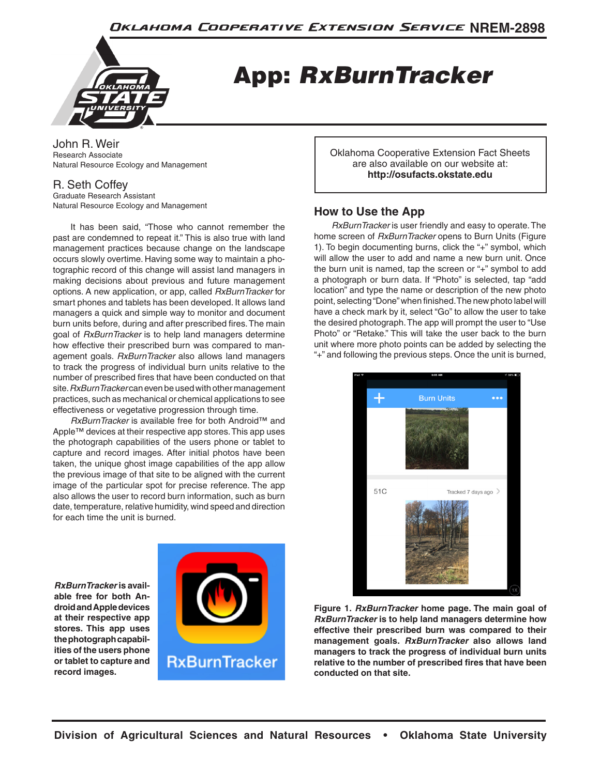

App: *RxBurnTracker*

John R. Weir Research Associate Natural Resource Ecology and Management

## R. Seth Coffey

Graduate Research Assistant Natural Resource Ecology and Management

It has been said, "Those who cannot remember the past are condemned to repeat it." This is also true with land management practices because change on the landscape occurs slowly overtime. Having some way to maintain a photographic record of this change will assist land managers in making decisions about previous and future management options. A new application, or app, called *RxBurnTracker* for smart phones and tablets has been developed. It allows land managers a quick and simple way to monitor and document burn units before, during and after prescribed fires. The main goal of *RxBurnTracker* is to help land managers determine how effective their prescribed burn was compared to management goals. *RxBurnTracker* also allows land managers to track the progress of individual burn units relative to the number of prescribed fires that have been conducted on that site. *RxBurnTracker* can even be used with other management practices, such as mechanical or chemical applications to see effectiveness or vegetative progression through time.

*RxBurnTracker* is available free for both Android™ and Apple™ devices at their respective app stores. This app uses the photograph capabilities of the users phone or tablet to capture and record images. After initial photos have been taken, the unique ghost image capabilities of the app allow the previous image of that site to be aligned with the current image of the particular spot for precise reference. The app also allows the user to record burn information, such as burn date, temperature, relative humidity, wind speed and direction for each time the unit is burned.

*RxBurnTracker* **is available free for both Android and Apple devices at their respective app stores. This app uses the photograph capabilities of the users phone or tablet to capture and record images.**



Oklahoma Cooperative Extension Fact Sheets are also available on our website at: **http://osufacts.okstate.edu**

## **How to Use the App**

*RxBurnTracker* is user friendly and easy to operate. The home screen of *RxBurnTracker* opens to Burn Units (Figure 1). To begin documenting burns, click the "+" symbol, which will allow the user to add and name a new burn unit. Once the burn unit is named, tap the screen or "+" symbol to add a photograph or burn data. If "Photo" is selected, tap "add location" and type the name or description of the new photo point, selecting "Done" when finished. The new photo label will have a check mark by it, select "Go" to allow the user to take the desired photograph. The app will prompt the user to "Use Photo" or "Retake." This will take the user back to the burn unit where more photo points can be added by selecting the "+" and following the previous steps. Once the unit is burned,



**Figure 1.** *RxBurnTracker* **home page. The main goal of**  *RxBurnTracker* **is to help land managers determine how effective their prescribed burn was compared to their management goals.** *RxBurnTracker* **also allows land managers to track the progress of individual burn units relative to the number of prescribed fires that have been conducted on that site.**